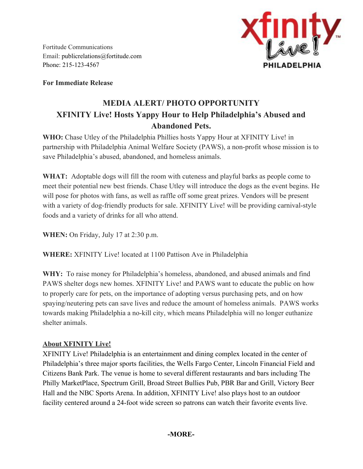Fortitude Communications Email: [publicrelations@fortitude.co](mailto:publicrelations@fortitude.com)m Phone: 215-123-4567



**For Immediate Release**

## **MEDIA ALERT/ PHOTO OPPORTUNITY XFINITY Live! Hosts Yappy Hour to Help Philadelphia's Abused and Abandoned Pets.**

**WHO:**Chase Utley of the Philadelphia Phillies hosts Yappy Hour at XFINITY Live! in partnership with Philadelphia Animal Welfare Society (PAWS), a non-profit whose mission is to save Philadelphia's abused, abandoned, and homeless animals.

**WHAT:**Adoptable dogs will fill the room with cuteness and playful barks as people come to meet their potential new best friends. Chase Utley will introduce the dogs as the event begins. He will pose for photos with fans, as well as raffle off some great prizes. Vendors will be present with a variety of dog-friendly products for sale. XFINITY Live! will be providing carnival-style foods and a variety of drinks for all who attend.

**WHEN:** On Friday, July 17 at 2:30 p.m.

**WHERE:**XFINITY Live! located at 1100 Pattison Ave in Philadelphia

**WHY:**To raise money for Philadelphia's homeless, abandoned, and abused animals and find PAWS shelter dogs new homes. XFINITY Live! and PAWS want to educate the public on how to properly care for pets, on the importance of adopting versus purchasing pets, and on how spaying/neutering pets can save lives and reduce the amount of homeless animals. PAWS works towards making Philadelphia a no-kill city, which means Philadelphia will no longer euthanize shelter animals.

## **About XFINITY Live!**

XFINITY Live! Philadelphia is an entertainment and dining complex located in the center of Philadelphia's three major sports facilities, the Wells Fargo Center, Lincoln Financial Field and Citizens Bank Park. The venue is home to several different restaurants and bars including The Philly MarketPlace, Spectrum Grill, Broad Street Bullies Pub, PBR Bar and Grill, Victory Beer Hall and the NBC Sports Arena. In addition, XFINITY Live! also plays host to an outdoor facility centered around a 24-foot wide screen so patrons can watch their favorite events live.